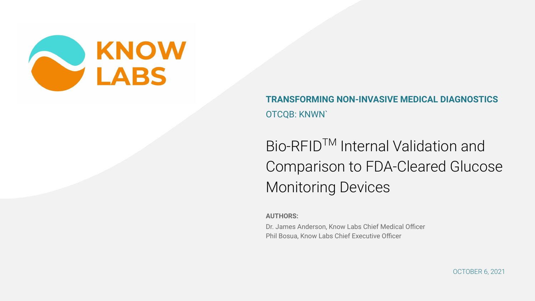

**TRANSFORMING NON-INVASIVE MEDICAL DIAGNOSTICS** OTCQB: KNWN`

Bio-RFIDTM Internal Validation and Comparison to FDA-Cleared Glucose Monitoring Devices

**AUTHORS:**

Dr. James Anderson, Know Labs Chief Medical Officer Phil Bosua, Know Labs Chief Executive Officer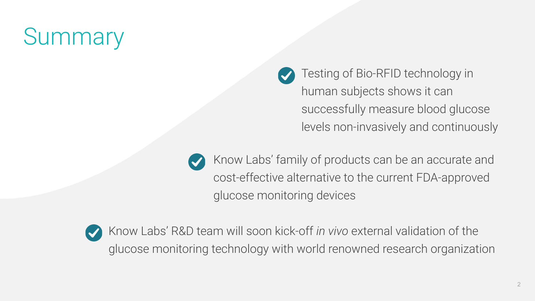# **Summary**

Testing of Bio-RFID technology in human subjects shows it can successfully measure blood glucose levels non-invasively and continuously

Know Labs' family of products can be an accurate and cost-effective alternative to the current FDA-approved glucose monitoring devices



Know Labs' R&D team will soon kick-off *in vivo* external validation of the glucose monitoring technology with world renowned research organization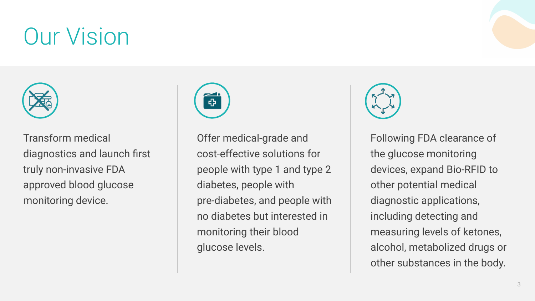# Our Vision



Transform medical diagnostics and launch first truly non-invasive FDA approved blood glucose monitoring device.



Offer medical-grade and cost-effective solutions for people with type 1 and type 2 diabetes, people with pre-diabetes, and people with no diabetes but interested in monitoring their blood glucose levels.



Following FDA clearance of the glucose monitoring devices, expand Bio-RFID to other potential medical diagnostic applications, including detecting and measuring levels of ketones, alcohol, metabolized drugs or other substances in the body.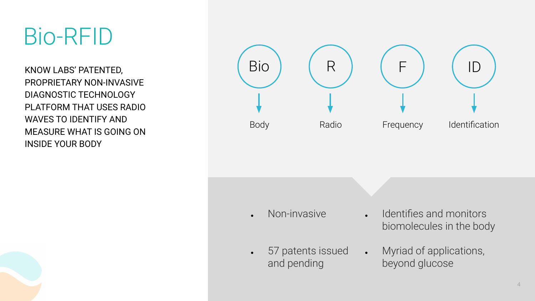## Bio-RFID

KNOW LABS' PATENTED, PROPRIETARY NON-INVASIVE DIAGNOSTIC TECHNOLOGY PLATFORM THAT USES RADIO WAVES TO IDENTIFY AND MEASURE WHAT IS GOING ON INSIDE YOUR BODY

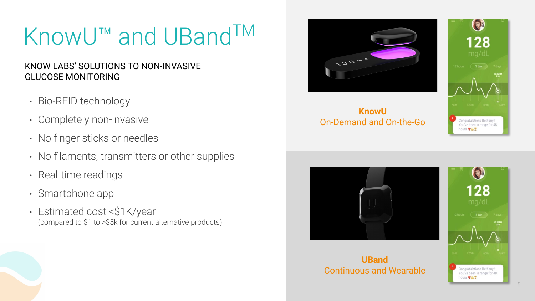# KnowU™ and UBand<sup>TM</sup>

### KNOW LABS' SOLUTIONS TO NON-INVASIVE GLUCOSE MONITORING

- Bio-RFID technology
- Completely non-invasive
- No finger sticks or needles
- No filaments, transmitters or other supplies
- Real-time readings
- Smartphone app
- Estimated cost <\$1K/year (compared to \$1 to >\$5k for current alternative products)



**KnowU** On-Demand and On-the-Go





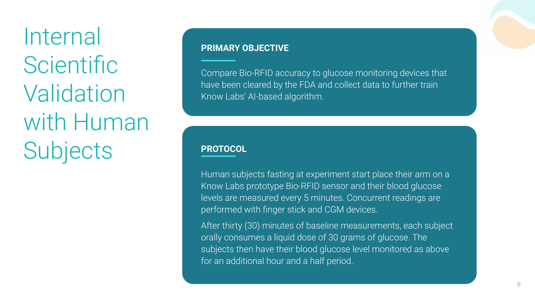Internal **Scientific Validation** with Human **Subjects** 

#### **PRIMARY OBJECTIVE**

Compare Bio-RFID accuracy to glucose monitoring devices that have been cleared by the FDA and collect data to further train Know Labs' AI-based algorithm.

#### **PROTOCOL**

Human subjects fasting at experiment start place their arm on a Know Labs prototype Bio-RFID sensor and their blood glucose levels are measured every 5 minutes. Concurrent readings are performed with finger stick and CGM devices.

After thirty (30) minutes of baseline measurements, each subject orally consumes a liquid dose of 30 grams of glucose. The subjects then have their blood glucose level monitored as above for an additional hour and a half period.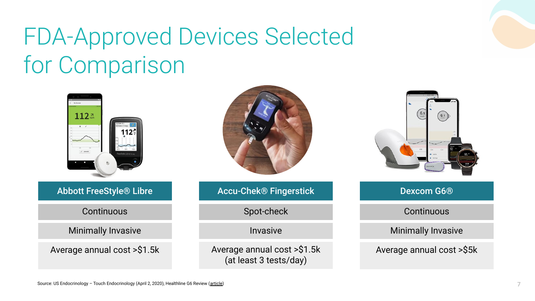# FDA-Approved Devices Selected for Comparison

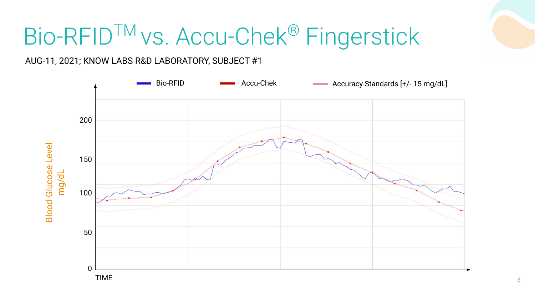# Bio-RFIDTM vs. Accu-Chek® Fingerstick

AUG-11, 2021; KNOW LABS R&D LABORATORY, SUBJECT #1

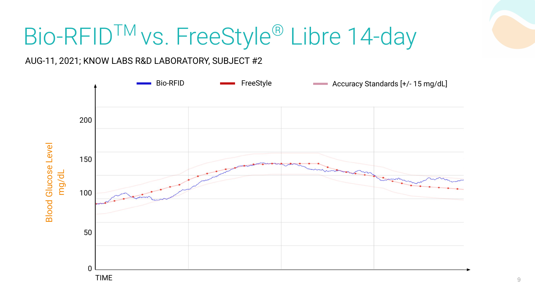# Bio-RFID™ vs. FreeStyle® Libre 14-day

AUG-11, 2021; KNOW LABS R&D LABORATORY, SUBJECT #2

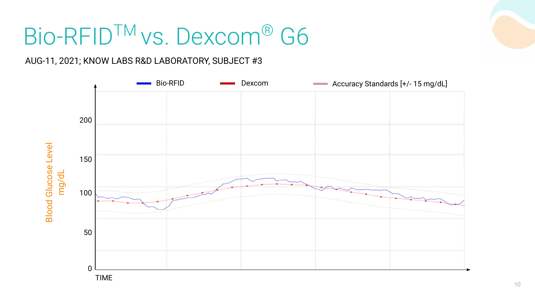# Bio-RFID™ vs. Dexcom® G6

### AUG-11, 2021; KNOW LABS R&D LABORATORY, SUBJECT #3

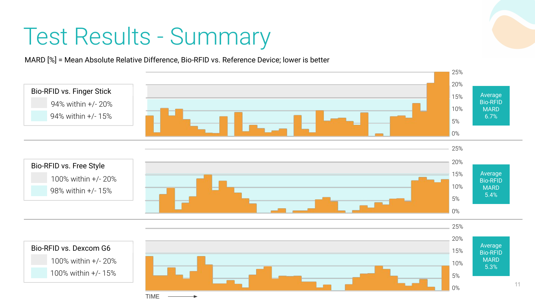# Test Results - Summary

MARD [%] = Mean Absolute Relative Difference, Bio-RFID vs. Reference Device; lower is better

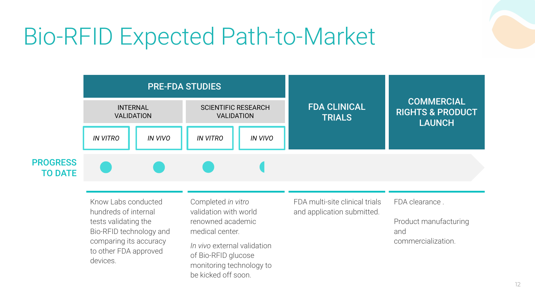### Bio-RFID Expected Path-to-Market



Know Labs conducted hundreds of internal tests validating the Bio-RFID technology and comparing its accuracy to other FDA approved devices.

Completed *in vitro* validation with world renowned academic medical center.

*In vivo* external validation of Bio-RFID glucose monitoring technology to be kicked off soon.

FDA multi-site clinical trials and application submitted.

FDA clearance .

Product manufacturing and commercialization.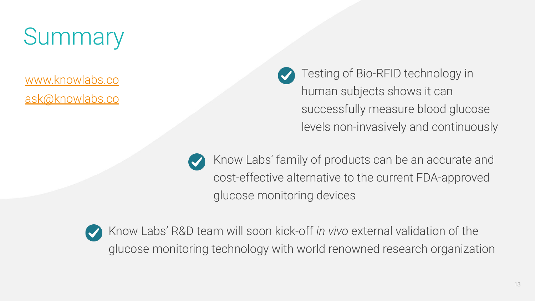# **Summary**

[www.knowlabs.co](http://www.knowlabs.co/) [ask@knowlabs.co](mailto:ask@knowlabs.co) Testing of Bio-RFID technology in human subjects shows it can successfully measure blood glucose levels non-invasively and continuously

Know Labs' family of products can be an accurate and cost-effective alternative to the current FDA-approved glucose monitoring devices



Know Labs' R&D team will soon kick-off *in vivo* external validation of the glucose monitoring technology with world renowned research organization